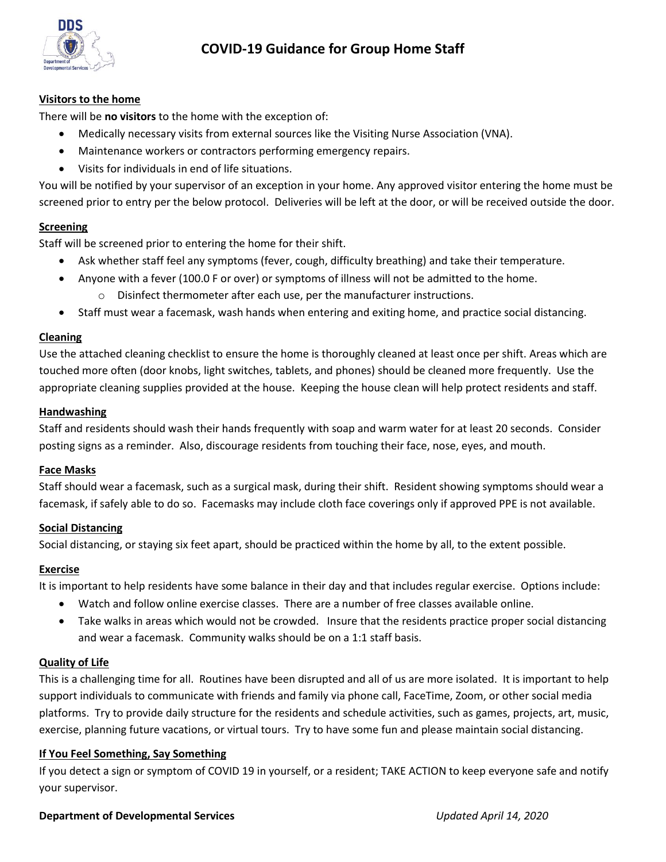

# **COVID-19 Guidance for Group Home Staff**

### **Visitors to the home**

There will be **no visitors** to the home with the exception of:

- Medically necessary visits from external sources like the Visiting Nurse Association (VNA).
- Maintenance workers or contractors performing emergency repairs.
- Visits for individuals in end of life situations.

You will be notified by your supervisor of an exception in your home. Any approved visitor entering the home must be screened prior to entry per the below protocol. Deliveries will be left at the door, or will be received outside the door.

# **Screening**

Staff will be screened prior to entering the home for their shift.

- Ask whether staff feel any symptoms (fever, cough, difficulty breathing) and take their temperature.
- Anyone with a fever (100.0 F or over) or symptoms of illness will not be admitted to the home.
	- $\circ$  Disinfect thermometer after each use, per the manufacturer instructions.
- Staff must wear a facemask, wash hands when entering and exiting home, and practice social distancing.

#### **Cleaning**

Use the attached cleaning checklist to ensure the home is thoroughly cleaned at least once per shift. Areas which are touched more often (door knobs, light switches, tablets, and phones) should be cleaned more frequently. Use the appropriate cleaning supplies provided at the house. Keeping the house clean will help protect residents and staff.

#### **Handwashing**

Staff and residents should wash their hands frequently with soap and warm water for at least 20 seconds. Consider posting signs as a reminder. Also, discourage residents from touching their face, nose, eyes, and mouth.

#### **Face Masks**

Staff should wear a facemask, such as a surgical mask, during their shift. Resident showing symptoms should wear a facemask, if safely able to do so. Facemasks may include cloth face coverings only if approved PPE is not available.

# **Social Distancing**

Social distancing, or staying six feet apart, should be practiced within the home by all, to the extent possible.

# **Exercise**

It is important to help residents have some balance in their day and that includes regular exercise. Options include:

- Watch and follow online exercise classes. There are a number of free classes available online.
- Take walks in areas which would not be crowded. Insure that the residents practice proper social distancing and wear a facemask. Community walks should be on a 1:1 staff basis.

# **Quality of Life**

This is a challenging time for all. Routines have been disrupted and all of us are more isolated. It is important to help support individuals to communicate with friends and family via phone call, FaceTime, Zoom, or other social media platforms. Try to provide daily structure for the residents and schedule activities, such as games, projects, art, music, exercise, planning future vacations, or virtual tours. Try to have some fun and please maintain social distancing.

# **If You Feel Something, Say Something**

If you detect a sign or symptom of COVID 19 in yourself, or a resident; TAKE ACTION to keep everyone safe and notify your supervisor.

#### **Department of Developmental Services** *Updated April 14, 2020*